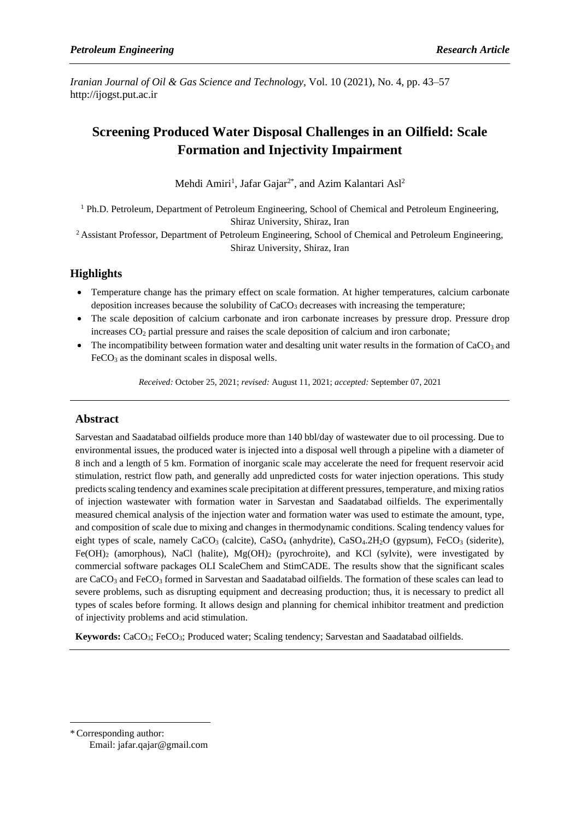*Iranian Journal of Oil & Gas Science and Technology,* Vol. 10 (2021), No. 4, pp. 43–57 http://ijogst.put.ac.ir

# **Screening Produced Water Disposal Challenges in an Oilfield: Scale Formation and Injectivity Impairment**

Mehdi Amiri<sup>1</sup>, Jafar Gajar<sup>2\*</sup>, and Azim Kalantari Asl<sup>2</sup>

 $1$  Ph.D. Petroleum, Department of Petroleum Engineering, School of Chemical and Petroleum Engineering, Shiraz University, Shiraz, Iran

<sup>2</sup> Assistant Professor, Department of Petroleum Engineering, School of Chemical and Petroleum Engineering, Shiraz University, Shiraz, Iran

# **Highlights**

- Temperature change has the primary effect on scale formation. At higher temperatures, calcium carbonate deposition increases because the solubility of  $CaCO<sub>3</sub>$  decreases with increasing the temperature;
- The scale deposition of calcium carbonate and iron carbonate increases by pressure drop. Pressure drop increases CO<sub>2</sub> partial pressure and raises the scale deposition of calcium and iron carbonate;
- The incompatibility between formation water and desalting unit water results in the formation of  $CaCO<sub>3</sub>$  and  $FeCO<sub>3</sub>$  as the dominant scales in disposal wells.

*Received:* October 25, 2021; *revised:* August 11, 2021; *accepted:* September 07, 2021

# **Abstract**

Sarvestan and Saadatabad oilfields produce more than 140 bbl/day of wastewater due to oil processing. Due to environmental issues, the produced water is injected into a disposal well through a pipeline with a diameter of 8 inch and a length of 5 km. Formation of inorganic scale may accelerate the need for frequent reservoir acid stimulation, restrict flow path, and generally add unpredicted costs for water injection operations. This study predictsscaling tendency and examines scale precipitation at different pressures, temperature, and mixing ratios of injection wastewater with formation water in Sarvestan and Saadatabad oilfields. The experimentally measured chemical analysis of the injection water and formation water was used to estimate the amount, type, and composition of scale due to mixing and changes in thermodynamic conditions. Scaling tendency values for eight types of scale, namely  $CaCO<sub>3</sub>$  (calcite),  $CaSO<sub>4</sub>$  (anhydrite),  $CaSO<sub>4</sub>$ . (gypsum), FeCO<sub>3</sub> (siderite),  $Fe(OH)_2$  (amorphous), NaCl (halite),  $Mg(OH)_2$  (pyrochroite), and KCl (sylvite), were investigated by commercial software packages OLI ScaleChem and StimCADE. The results show that the significant scales are CaCO<sub>3</sub> and FeCO<sub>3</sub> formed in Sarvestan and Saadatabad oilfields. The formation of these scales can lead to severe problems, such as disrupting equipment and decreasing production; thus, it is necessary to predict all types of scales before forming. It allows design and planning for chemical inhibitor treatment and prediction of injectivity problems and acid stimulation.

**Keywords:** CaCO3; FeCO3; Produced water; Scaling tendency; Sarvestan and Saadatabad oilfields.

\*Corresponding author: Email: jafar.qajar@gmail.com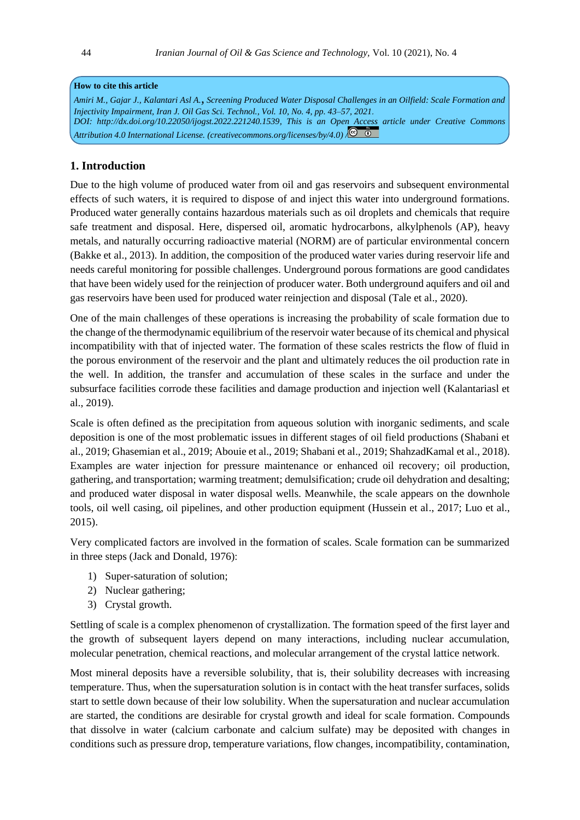#### **How to cite this article**

*Amiri M., Gajar J., Kalantari Asl A., Screening Produced Water Disposal Challenges in an Oilfield: Scale Formation and Injectivity Impairment, Iran J. Oil Gas Sci. Technol., Vol. 10, No. 4, pp. 43–57, 2021* . *DOI: [http://dx.doi.org/10.22050/ijogst.2022.221240.1539,](https://dx.doi.org/10.22050/ijogst.2021.265594.1578) This is an Open Access article under [Creative Commons](http://creativecommons.org/licenses/by/4.0/)  [Attribution 4.0 International License.](http://creativecommons.org/licenses/by/4.0/) (creativecommons.org/licenses/by/4.0) /*

# **1. Introduction**

Due to the high volume of produced water from oil and gas reservoirs and subsequent environmental effects of such waters, it is required to dispose of and inject this water into underground formations. Produced water generally contains hazardous materials such as oil droplets and chemicals that require safe treatment and disposal. Here, dispersed oil, aromatic hydrocarbons, alkylphenols (AP), heavy metals, and naturally occurring radioactive material (NORM) are of particular environmental concern (Bakke et al., 2013). In addition, the composition of the produced water varies during reservoir life and needs careful monitoring for possible challenges. Underground porous formations are good candidates that have been widely used for the reinjection of producer water. Both underground aquifers and oil and gas reservoirs have been used for produced water reinjection and disposal (Tale et al., 2020).

One of the main challenges of these operations is increasing the probability of scale formation due to the change of the thermodynamic equilibrium of the reservoir water because of its chemical and physical incompatibility with that of injected water. The formation of these scales restricts the flow of fluid in the porous environment of the reservoir and the plant and ultimately reduces the oil production rate in the well. In addition, the transfer and accumulation of these scales in the surface and under the subsurface facilities corrode these facilities and damage production and injection well (Kalantariasl et al., 2019).

Scale is often defined as the precipitation from aqueous solution with inorganic sediments, and scale deposition is one of the most problematic issues in different stages of oil field productions (Shabani et al., 2019; Ghasemian et al., 2019; Abouie et al., 2019; Shabani et al., 2019; ShahzadKamal et al., 2018). Examples are water injection for pressure maintenance or enhanced oil recovery; oil production, gathering, and transportation; warming treatment; demulsification; crude oil dehydration and desalting; and produced water disposal in water disposal wells. Meanwhile, the scale appears on the downhole tools, oil well casing, oil pipelines, and other production equipment (Hussein et al., 2017; Luo et al., 2015).

Very complicated factors are involved in the formation of scales. Scale formation can be summarized in three steps (Jack and Donald, 1976):

- 1) Super-saturation of solution;
- 2) Nuclear gathering;
- 3) Crystal growth.

Settling of scale is a complex phenomenon of crystallization. The formation speed of the first layer and the growth of subsequent layers depend on many interactions, including nuclear accumulation, molecular penetration, chemical reactions, and molecular arrangement of the crystal lattice network .

Most mineral deposits have a reversible solubility, that is, their solubility decreases with increasing temperature. Thus, when the supersaturation solution is in contact with the heat transfer surfaces, solids start to settle down because of their low solubility. When the supersaturation and nuclear accumulation are started, the conditions are desirable for crystal growth and ideal for scale formation. Compounds that dissolve in water (calcium carbonate and calcium sulfate) may be deposited with changes in conditions such as pressure drop, temperature variations, flow changes, incompatibility, contamination,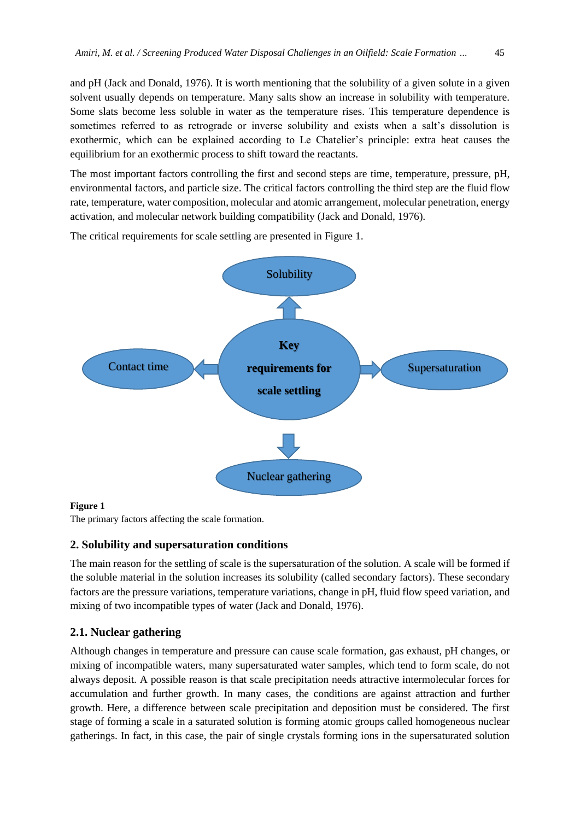and pH (Jack and Donald, 1976). It is worth mentioning that the solubility of a given solute in a given solvent usually depends on temperature. Many salts show an increase in solubility with temperature. Some slats become less soluble in water as the temperature rises. This temperature dependence is sometimes referred to as retrograde or inverse solubility and exists when a salt's dissolution is exothermic, which can be explained according to Le Chatelier's principle: extra heat causes the equilibrium for an exothermic process to shift toward the reactants.

The most important factors controlling the first and second steps are time, temperature, pressure, pH, environmental factors, and particle size. The critical factors controlling the third step are the fluid flow rate, temperature, water composition, molecular and atomic arrangement, molecular penetration, energy activation, and molecular network building compatibility (Jack and Donald, 1976).

The critical requirements for scale settling are presented in Figure 1.



### **Figure 1**

The primary factors affecting the scale formation.

#### **2. Solubility and supersaturation conditions**

The main reason for the settling of scale is the supersaturation of the solution. A scale will be formed if the soluble material in the solution increases its solubility (called secondary factors). These secondary factors are the pressure variations, temperature variations, change in pH, fluid flow speed variation, and mixing of two incompatible types of water (Jack and Donald, 1976).

## **2.1. Nuclear gathering**

Although changes in temperature and pressure can cause scale formation, gas exhaust, pH changes, or mixing of incompatible waters, many supersaturated water samples, which tend to form scale, do not always deposit. A possible reason is that scale precipitation needs attractive intermolecular forces for accumulation and further growth. In many cases, the conditions are against attraction and further growth. Here, a difference between scale precipitation and deposition must be considered. The first stage of forming a scale in a saturated solution is forming atomic groups called homogeneous nuclear gatherings. In fact, in this case, the pair of single crystals forming ions in the supersaturated solution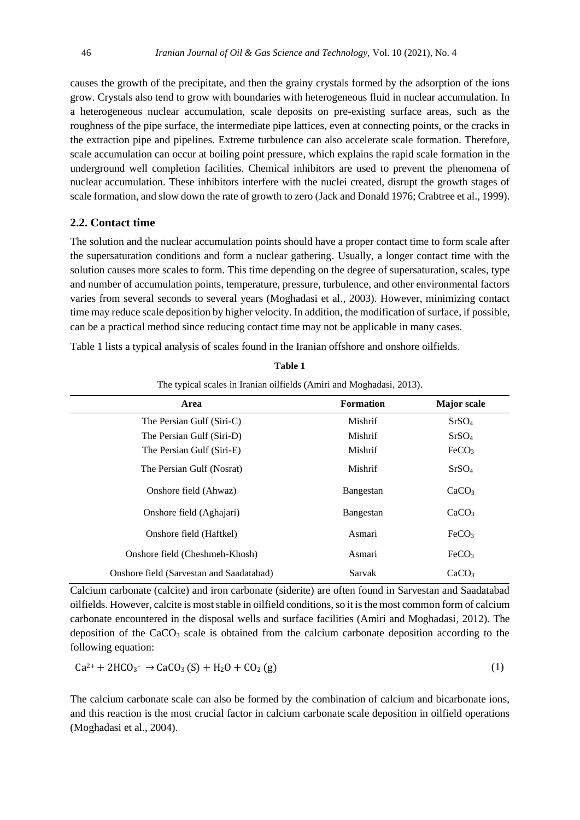causes the growth of the precipitate, and then the grainy crystals formed by the adsorption of the ions grow. Crystals also tend to grow with boundaries with heterogeneous fluid in nuclear accumulation. In a heterogeneous nuclear accumulation, scale deposits on pre-existing surface areas, such as the roughness of the pipe surface, the intermediate pipe lattices, even at connecting points, or the cracks in the extraction pipe and pipelines. Extreme turbulence can also accelerate scale formation. Therefore, scale accumulation can occur at boiling point pressure, which explains the rapid scale formation in the underground well completion facilities. Chemical inhibitors are used to prevent the phenomena of nuclear accumulation. These inhibitors interfere with the nuclei created, disrupt the growth stages of scale formation, and slow down the rate of growth to zero (Jack and Donald 1976; Crabtree et al., 1999).

# **2.2. Contact time**

The solution and the nuclear accumulation points should have a proper contact time to form scale after the supersaturation conditions and form a nuclear gathering. Usually, a longer contact time with the solution causes more scales to form. This time depending on the degree of supersaturation, scales, type and number of accumulation points, temperature, pressure, turbulence, and other environmental factors varies from several seconds to several years (Moghadasi et al., 2003). However, minimizing contact time may reduce scale deposition by higher velocity. In addition, the modification of surface, if possible, can be a practical method since reducing contact time may not be applicable in many cases.

Table 1 lists a typical analysis of scales found in the Iranian offshore and onshore oilfields.

| The typical scales in Iranian oilfields (Amiri and Moghadasi, 2013). |                  |                    |  |
|----------------------------------------------------------------------|------------------|--------------------|--|
| Area                                                                 | <b>Formation</b> | <b>Major</b> scale |  |
| The Persian Gulf (Siri-C)                                            | Mishrif          | SrSO <sub>4</sub>  |  |
| The Persian Gulf (Siri-D)                                            | Mishrif          | SrSO <sub>4</sub>  |  |
| The Persian Gulf (Siri-E)                                            | Mishrif          | FeCO <sub>3</sub>  |  |
| The Persian Gulf (Nosrat)                                            | Mishrif          | SrSO <sub>4</sub>  |  |
| Onshore field (Ahwaz)                                                | Bangestan        | CaCO <sub>3</sub>  |  |
| Onshore field (Aghajari)                                             | Bangestan        | CaCO <sub>3</sub>  |  |
| Onshore field (Haftkel)                                              | Asmari           | FeCO <sub>3</sub>  |  |
| Onshore field (Cheshmeh-Khosh)                                       | Asmari           | FeCO <sub>3</sub>  |  |
| Onshore field (Sarvestan and Saadatabad)                             | Sarvak           | CaCO <sub>3</sub>  |  |

**Table 1**

Calcium carbonate (calcite) and iron carbonate (siderite) are often found in Sarvestan and Saadatabad oilfields. However, calcite is most stable in oilfield conditions, so it is the most common form of calcium carbonate encountered in the disposal wells and surface facilities (Amiri and Moghadasi, 2012). The deposition of the CaCO<sub>3</sub> scale is obtained from the calcium carbonate deposition according to the following equation:

$$
Ca^{2+} + 2HCO_3^- \rightarrow CaCO_3(S) + H_2O + CO_2(g)
$$
 (1)

The calcium carbonate scale can also be formed by the combination of calcium and bicarbonate ions, and this reaction is the most crucial factor in calcium carbonate scale deposition in oilfield operations (Moghadasi et al., 2004).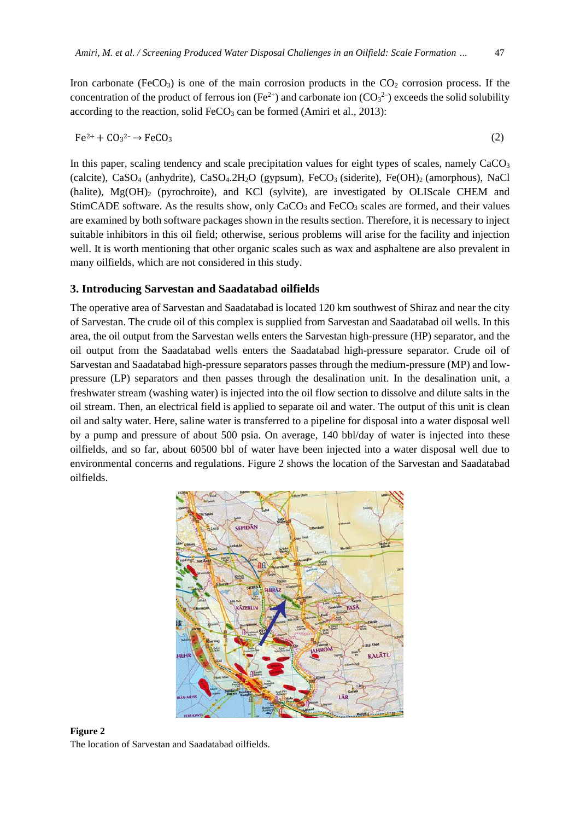Iron carbonate (FeCO<sub>3</sub>) is one of the main corrosion products in the  $CO<sub>2</sub>$  corrosion process. If the concentration of the product of ferrous ion ( $Fe^{2+}$ ) and carbonate ion ( $CO<sub>3</sub><sup>2</sup>$ ) exceeds the solid solubility according to the reaction, solid  $FeCO<sub>3</sub>$  can be formed (Amiri et al., 2013):

$$
Fe^{2+} + CO_3^{2-} \rightarrow FeCO_3 \tag{2}
$$

In this paper, scaling tendency and scale precipitation values for eight types of scales, namely  $CaCO<sub>3</sub>$ (calcite), CaSO<sub>4</sub> (anhydrite), CaSO<sub>4</sub>.2H<sub>2</sub>O (gypsum), FeCO<sub>3</sub> (siderite), Fe(OH)<sub>2</sub> (amorphous), NaCl (halite),  $Mg(OH)$ <sub>2</sub> (pyrochroite), and KCl (sylvite), are investigated by OLIScale CHEM and StimCADE software. As the results show, only CaCO<sub>3</sub> and FeCO<sub>3</sub> scales are formed, and their values are examined by both software packages shown in the results section. Therefore, it is necessary to inject suitable inhibitors in this oil field; otherwise, serious problems will arise for the facility and injection well. It is worth mentioning that other organic scales such as wax and asphaltene are also prevalent in many oilfields, which are not considered in this study.

#### **3. Introducing Sarvestan and Saadatabad oilfields**

The operative area of Sarvestan and Saadatabad is located 120 km southwest of Shiraz and near the city of Sarvestan. The crude oil of this complex is supplied from Sarvestan and Saadatabad oil wells. In this area, the oil output from the Sarvestan wells enters the Sarvestan high-pressure (HP) separator, and the oil output from the Saadatabad wells enters the Saadatabad high-pressure separator. Crude oil of Sarvestan and Saadatabad high-pressure separators passes through the medium-pressure (MP) and lowpressure (LP) separators and then passes through the desalination unit. In the desalination unit, a freshwater stream (washing water) is injected into the oil flow section to dissolve and dilute salts in the oil stream. Then, an electrical field is applied to separate oil and water. The output of this unit is clean oil and salty water. Here, saline water is transferred to a pipeline for disposal into a water disposal well by a pump and pressure of about 500 psia. On average, 140 bbl/day of water is injected into these oilfields, and so far, about 60500 bbl of water have been injected into a water disposal well due to environmental concerns and regulations. Figure 2 shows the location of the Sarvestan and Saadatabad oilfields.



**Figure 2** The location of Sarvestan and Saadatabad oilfields.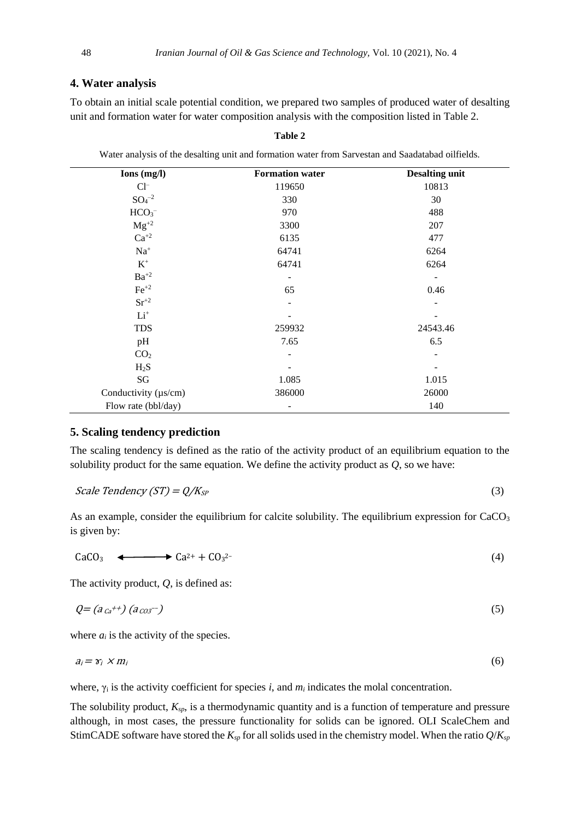## **4. Water analysis**

To obtain an initial scale potential condition, we prepared two samples of produced water of desalting unit and formation water for water composition analysis with the composition listed in Table 2.

| Ions (mg/l)                  | <b>Formation water</b>   | <b>Desalting unit</b>    |
|------------------------------|--------------------------|--------------------------|
| $Cl^-$                       | 119650                   | 10813                    |
| $SO_4^{-2}$                  | 330                      | 30                       |
| HCO <sub>3</sub>             | 970                      | 488                      |
| $Mg^{+2}$                    | 3300                     | 207                      |
| $\mathrm{Ca}^{+2}$           | 6135                     | 477                      |
| $\mathrm{Na}^+$              | 64741                    | 6264                     |
| $\mathbf{K}^+$               | 64741                    | 6264                     |
| $\mathbf{B} \mathbf{a}^{+2}$ | $\overline{\phantom{a}}$ | $\overline{\phantom{a}}$ |
| $\rm Fe^{+2}$                | 65                       | 0.46                     |
| $Sr^{+2}$                    | $\overline{\phantom{a}}$ | $\overline{\phantom{a}}$ |
| $Li+$                        |                          |                          |
| <b>TDS</b>                   | 259932                   | 24543.46                 |
| pH                           | 7.65                     | 6.5                      |
| CO <sub>2</sub>              | $\overline{\phantom{a}}$ |                          |
| $H_2S$                       |                          |                          |
| SG                           | 1.085                    | 1.015                    |
| Conductivity (µs/cm)         | 386000                   | 26000                    |
| Flow rate (bbl/day)          | $\qquad \qquad -$        | 140                      |

**Table 2**

Water analysis of the desalting unit and formation water from Sarvestan and Saadatabad oilfields.

### **5. Scaling tendency prediction**

The scaling tendency is defined as the ratio of the activity product of an equilibrium equation to the solubility product for the same equation. We define the activity product as *Q*, so we have:

$$
Scale Tendercy (ST) = Q/K_{SP}
$$
\n
$$
(3)
$$

As an example, consider the equilibrium for calcite solubility. The equilibrium expression for CaCO<sub>3</sub> is given by:

CaCO<sub>3</sub>  $\longleftrightarrow$  Ca<sup>2+</sup> + CO<sub>3</sub><sup>2-</sup>  $2^2$  (4)

The activity product, *Q*, is defined as:

$$
Q = (a_{\mathit{Ca}}^{++}) (a_{\mathit{CO3}}^{--}) \tag{5}
$$

where  $a_i$  is the activity of the species.

$$
a_i = \gamma_i \times m_i \tag{6}
$$

where, γ<sup>i</sup> is the activity coefficient for species *i*, and *m<sup>i</sup>* indicates the molal concentration.

The solubility product, *Ksp*, is a thermodynamic quantity and is a function of temperature and pressure although, in most cases, the pressure functionality for solids can be ignored. OLI ScaleChem and StimCADE software have stored the  $K_{sp}$  for all solids used in the chemistry model. When the ratio  $Q/K_{sp}$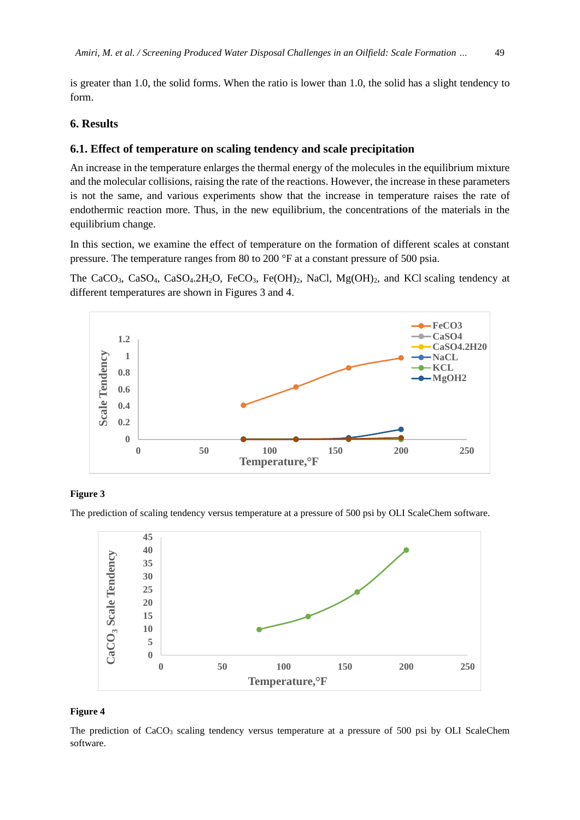is greater than 1.0, the solid forms. When the ratio is lower than 1.0, the solid has a slight tendency to form.

# **6. Results**

### **6.1. Effect of temperature on scaling tendency and scale precipitation**

An increase in the temperature enlarges the thermal energy of the molecules in the equilibrium mixture and the molecular collisions, raising the rate of the reactions. However, the increase in these parameters is not the same, and various experiments show that the increase in temperature raises the rate of endothermic reaction more. Thus, in the new equilibrium, the concentrations of the materials in the equilibrium change.

In this section, we examine the effect of temperature on the formation of different scales at constant pressure. The temperature ranges from 80 to 200 °F at a constant pressure of 500 psia.

The CaCO<sub>3</sub>, CaSO<sub>4</sub>, CaSO<sub>4</sub>.2H<sub>2</sub>O, FeCO<sub>3</sub>, Fe(OH)<sub>2</sub>, NaCl, Mg(OH)<sub>2</sub>, and KCl scaling tendency at different temperatures are shown in Figures 3 and 4.



#### **Figure 3**

The prediction of scaling tendency versus temperature at a pressure of 500 psi by OLI ScaleChem software.



#### **Figure 4**

The prediction of  $CaCO<sub>3</sub>$  scaling tendency versus temperature at a pressure of 500 psi by OLI ScaleChem software.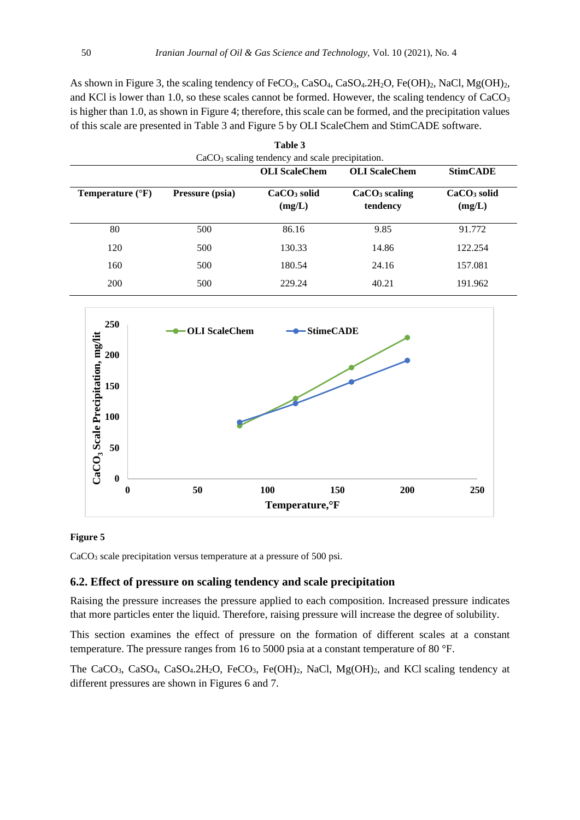As shown in Figure 3, the scaling tendency of FeCO<sub>3</sub>, CaSO<sub>4</sub>, CaSO<sub>4</sub>.2H<sub>2</sub>O, Fe(OH)<sub>2</sub>, NaCl, Mg(OH)<sub>2</sub>, and KCl is lower than 1.0, so these scales cannot be formed. However, the scaling tendency of  $CaCO<sub>3</sub>$ is higher than 1.0, as shown in Figure 4; therefore, this scale can be formed, and the precipitation values of this scale are presented in Table 3 and Figure 5 by OLI ScaleChem and StimCADE software.

|                           |                 | Table 3                                           |                                       |                                   |
|---------------------------|-----------------|---------------------------------------------------|---------------------------------------|-----------------------------------|
|                           |                 | $CaCO3$ scaling tendency and scale precipitation. |                                       |                                   |
|                           |                 | <b>OLI</b> ScaleChem                              | <b>OLI</b> ScaleChem                  | <b>StimCADE</b>                   |
| Temperature $(^{\circ}F)$ | Pressure (psia) | $CaCO3$ solid<br>(mg/L)                           | CaCO <sub>3</sub> scaling<br>tendency | CaCO <sub>3</sub> solid<br>(mg/L) |
| 80                        | 500             | 86.16                                             | 9.85                                  | 91.772                            |
| 120                       | 500             | 130.33                                            | 14.86                                 | 122.254                           |
| 160                       | 500             | 180.54                                            | 24.16                                 | 157.081                           |
| 200                       | 500             | 229.24                                            | 40.21                                 | 191.962                           |



#### **Figure 5**

 $CaCO<sub>3</sub>$  scale precipitation versus temperature at a pressure of 500 psi.

### **6.2. Effect of pressure on scaling tendency and scale precipitation**

Raising the pressure increases the pressure applied to each composition. Increased pressure indicates that more particles enter the liquid. Therefore, raising pressure will increase the degree of solubility.

This section examines the effect of pressure on the formation of different scales at a constant temperature. The pressure ranges from 16 to 5000 psia at a constant temperature of 80 °F.

The CaCO<sub>3</sub>, CaSO<sub>4</sub>, CaSO<sub>4</sub>.2H<sub>2</sub>O, FeCO<sub>3</sub>, Fe(OH)<sub>2</sub>, NaCl, Mg(OH)<sub>2</sub>, and KCl scaling tendency at different pressures are shown in Figures 6 and 7.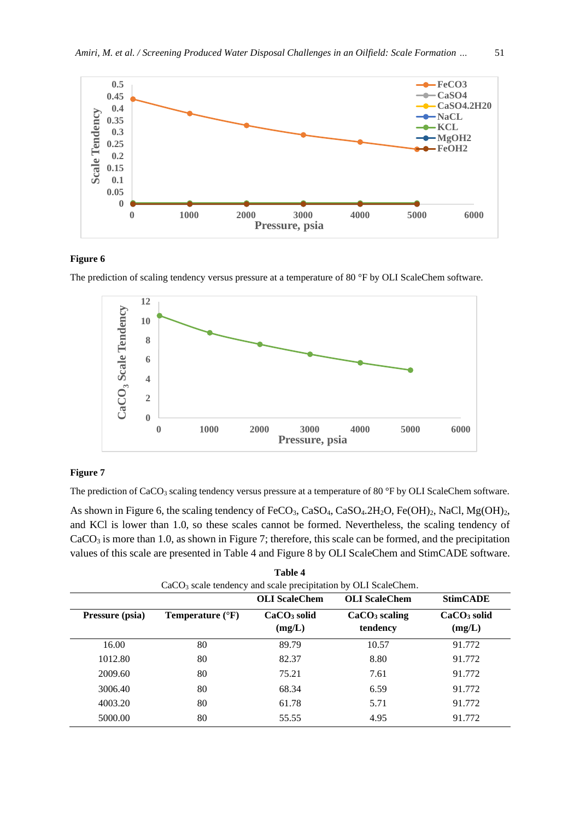

#### **Figure 6**

The prediction of scaling tendency versus pressure at a temperature of 80 °F by OLI ScaleChem software.



#### **Figure 7**

The prediction of CaCO<sub>3</sub> scaling tendency versus pressure at a temperature of 80 °F by OLI ScaleChem software.

As shown in Figure 6, the scaling tendency of FeCO<sub>3</sub>, CaSO<sub>4</sub>, CaSO<sub>4</sub>, 2H<sub>2</sub>O, Fe(OH)<sub>2</sub>, NaCl, Mg(OH)<sub>2</sub>, and KCl is lower than 1.0, so these scales cannot be formed. Nevertheless, the scaling tendency of CaCO<sub>3</sub> is more than 1.0, as shown in Figure 7; therefore, this scale can be formed, and the precipitation values of this scale are presented in Table 4 and Figure 8 by OLI ScaleChem and StimCADE software.

|                 |                                                                  | Table 4                 |                                       |                         |
|-----------------|------------------------------------------------------------------|-------------------------|---------------------------------------|-------------------------|
|                 | $CaCO3$ scale tendency and scale precipitation by OLI ScaleChem. |                         |                                       |                         |
|                 |                                                                  | <b>OLI</b> ScaleChem    | <b>OLI</b> ScaleChem                  | <b>StimCADE</b>         |
| Pressure (psia) | Temperature $(^{\circ}F)$                                        | $CaCO3$ solid<br>(mg/L) | CaCO <sub>3</sub> scaling<br>tendency | $CaCO3$ solid<br>(mg/L) |
| 16.00           | 80                                                               | 89.79                   | 10.57                                 | 91.772                  |
| 1012.80         | 80                                                               | 82.37                   | 8.80                                  | 91.772                  |
| 2009.60         | 80                                                               | 75.21                   | 7.61                                  | 91.772                  |
| 3006.40         | 80                                                               | 68.34                   | 6.59                                  | 91.772                  |
| 4003.20         | 80                                                               | 61.78                   | 5.71                                  | 91.772                  |
| 5000.00         | 80                                                               | 55.55                   | 4.95                                  | 91.772                  |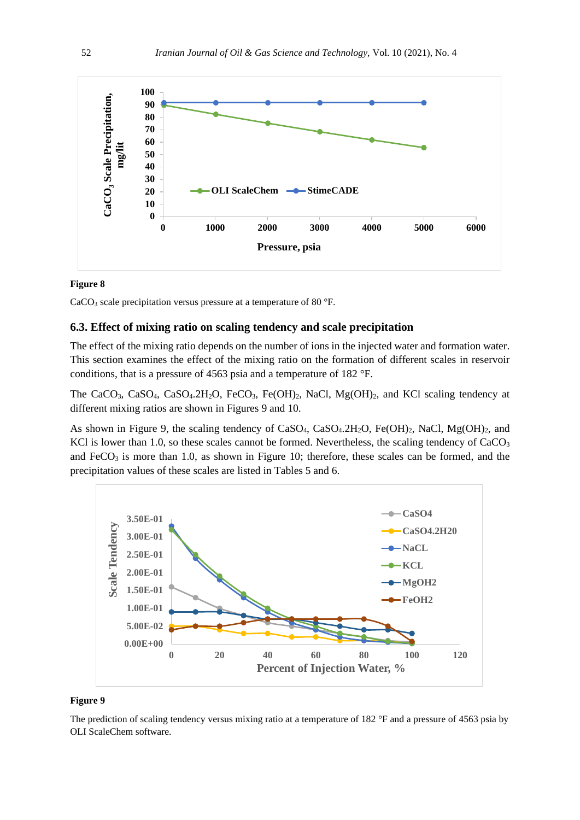

### **Figure 8**

 $CaCO<sub>3</sub>$  scale precipitation versus pressure at a temperature of 80 °F.

## **6.3. Effect of mixing ratio on scaling tendency and scale precipitation**

The effect of the mixing ratio depends on the number of ions in the injected water and formation water. This section examines the effect of the mixing ratio on the formation of different scales in reservoir conditions, that is a pressure of 4563 psia and a temperature of 182 °F.

The CaCO<sub>3</sub>, CaSO<sub>4</sub>, CaSO<sub>4</sub>.2H<sub>2</sub>O, FeCO<sub>3</sub>, Fe(OH)<sub>2</sub>, NaCl, Mg(OH)<sub>2</sub>, and KCl scaling tendency at different mixing ratios are shown in Figures 9 and 10.

As shown in Figure 9, the scaling tendency of CaSO<sub>4</sub>, CaSO<sub>4</sub>.2H<sub>2</sub>O, Fe(OH)<sub>2</sub>, NaCl, Mg(OH)<sub>2</sub>, and KCl is lower than 1.0, so these scales cannot be formed. Nevertheless, the scaling tendency of  $CaCO<sub>3</sub>$ and  $FeCO<sub>3</sub>$  is more than 1.0, as shown in Figure 10; therefore, these scales can be formed, and the precipitation values of these scales are listed in Tables 5 and 6.



#### **Figure 9**

The prediction of scaling tendency versus mixing ratio at a temperature of 182 °F and a pressure of 4563 psia by OLI ScaleChem software.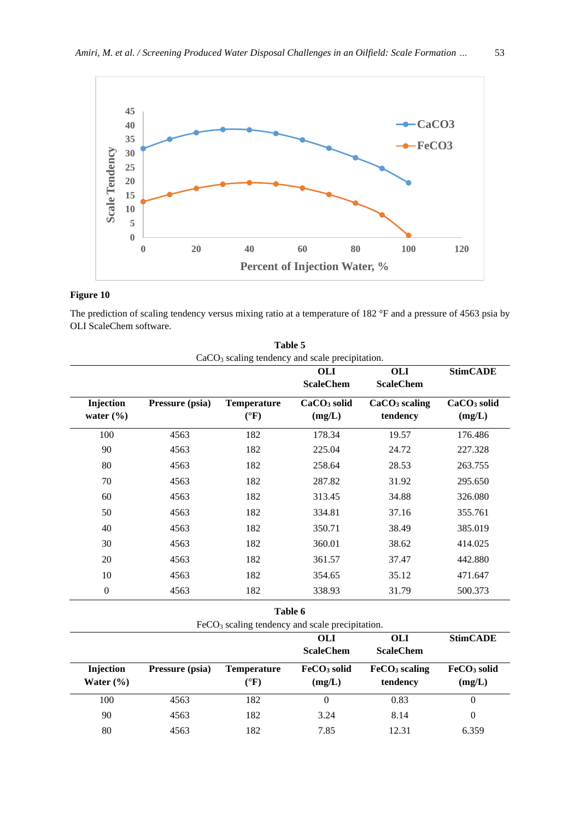

# **Figure 10**

The prediction of scaling tendency versus mixing ratio at a temperature of 182 °F and a pressure of 4563 psia by OLI ScaleChem software.

| $CaCO3$ scaling tendency and scale precipitation. |                                                   |                    |                         |                           |                         |
|---------------------------------------------------|---------------------------------------------------|--------------------|-------------------------|---------------------------|-------------------------|
|                                                   |                                                   |                    | <b>OLI</b>              | <b>OLI</b>                | <b>StimCADE</b>         |
|                                                   |                                                   |                    | <b>ScaleChem</b>        | <b>ScaleChem</b>          |                         |
| Injection                                         | Pressure (psia)                                   | Temperature        | CaCO <sub>3</sub> solid | $CaCO3$ scaling           | CaCO <sub>3</sub> solid |
| water $(\% )$                                     |                                                   | $(^{\circ}F)$      | (mg/L)                  | tendency                  | (mg/L)                  |
| 100                                               | 4563                                              | 182                | 178.34                  | 19.57                     | 176.486                 |
| 90                                                | 4563                                              | 182                | 225.04                  | 24.72                     | 227.328                 |
| 80                                                | 4563                                              | 182                | 258.64                  | 28.53                     | 263.755                 |
| 70                                                | 4563                                              | 182                | 287.82                  | 31.92                     | 295.650                 |
| 60                                                | 4563                                              | 182                | 313.45                  | 34.88                     | 326.080                 |
| 50                                                | 4563                                              | 182                | 334.81                  | 37.16                     | 355.761                 |
| 40                                                | 4563                                              | 182                | 350.71                  | 38.49                     | 385.019                 |
| 30                                                | 4563                                              | 182                | 360.01                  | 38.62                     | 414.025                 |
| 20                                                | 4563                                              | 182                | 361.57                  | 37.47                     | 442.880                 |
| 10                                                | 4563                                              | 182                | 354.65                  | 35.12                     | 471.647                 |
| $\boldsymbol{0}$                                  | 4563                                              | 182                | 338.93                  | 31.79                     | 500.373                 |
|                                                   |                                                   | Table 6            |                         |                           |                         |
|                                                   | $FeCO3$ scaling tendency and scale precipitation. |                    |                         |                           |                         |
|                                                   |                                                   |                    | <b>OLI</b>              | <b>OLI</b>                | <b>StimCADE</b>         |
|                                                   |                                                   |                    | <b>ScaleChem</b>        | <b>ScaleChem</b>          |                         |
| Injection                                         | Pressure (psia)                                   | <b>Temperature</b> | FeCO <sub>3</sub> solid | FeCO <sub>3</sub> scaling | FeCO <sub>3</sub> solid |
| Water $(\% )$                                     |                                                   | $(^{\circ}F)$      | (mg/L)                  | tendency                  | (mg/L)                  |
| 100                                               | 4563                                              | 182                | $\overline{0}$          | 0.83                      | $\boldsymbol{0}$        |
| 90                                                | 4563                                              | 182                | 3.24                    | 8.14                      | $\boldsymbol{0}$        |
| 80                                                | 4563                                              | 182                | 7.85                    | 12.31                     | 6.359                   |

| Table 5                                        |  |
|------------------------------------------------|--|
| $CaCO3$ scaling tendency and scale precipitati |  |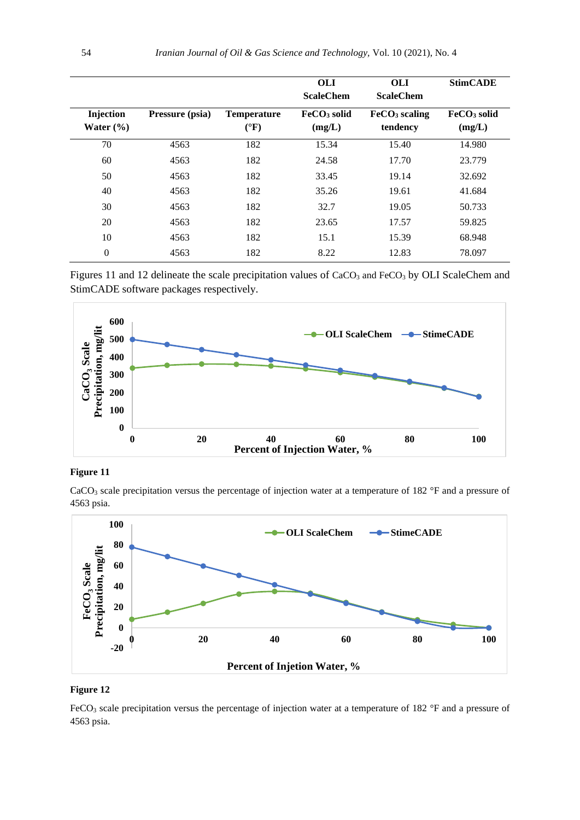|                            |                 |                                       | <b>OLI</b><br><b>ScaleChem</b>    | <b>OLI</b><br><b>ScaleChem</b>        | <b>StimCADE</b>                   |
|----------------------------|-----------------|---------------------------------------|-----------------------------------|---------------------------------------|-----------------------------------|
| Injection<br>Water $(\% )$ | Pressure (psia) | <b>Temperature</b><br>$({}^{\circ}F)$ | FeCO <sub>3</sub> solid<br>(mg/L) | FeCO <sub>3</sub> scaling<br>tendency | FeCO <sub>3</sub> solid<br>(mg/L) |
| 70                         | 4563            | 182                                   | 15.34                             | 15.40                                 | 14.980                            |
| 60                         | 4563            | 182                                   | 24.58                             | 17.70                                 | 23.779                            |
| 50                         | 4563            | 182                                   | 33.45                             | 19.14                                 | 32.692                            |
| 40                         | 4563            | 182                                   | 35.26                             | 19.61                                 | 41.684                            |
| 30                         | 4563            | 182                                   | 32.7                              | 19.05                                 | 50.733                            |
| 20                         | 4563            | 182                                   | 23.65                             | 17.57                                 | 59.825                            |
| 10                         | 4563            | 182                                   | 15.1                              | 15.39                                 | 68.948                            |
| $\overline{0}$             | 4563            | 182                                   | 8.22                              | 12.83                                 | 78.097                            |

Figures 11 and 12 delineate the scale precipitation values of  $CaCO<sub>3</sub>$  and FeCO<sub>3</sub> by OLI ScaleChem and StimCADE software packages respectively.



#### **Figure 11**

CaCO<sub>3</sub> scale precipitation versus the percentage of injection water at a temperature of 182 °F and a pressure of 4563 psia.



### **Figure 12**

FeCO<sub>3</sub> scale precipitation versus the percentage of injection water at a temperature of 182 °F and a pressure of 4563 psia.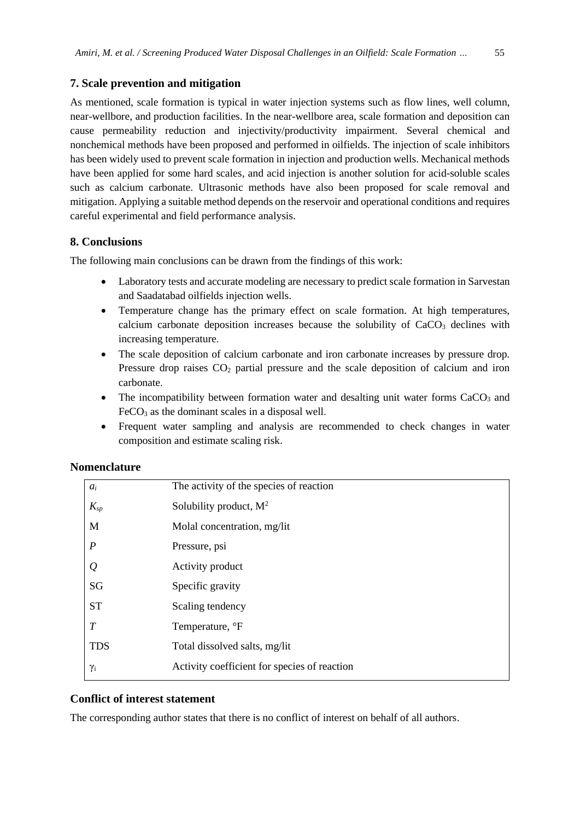## **7. Scale prevention and mitigation**

As mentioned, scale formation is typical in water injection systems such as flow lines, well column, near-wellbore, and production facilities. In the near-wellbore area, scale formation and deposition can cause permeability reduction and injectivity/productivity impairment. Several chemical and nonchemical methods have been proposed and performed in oilfields. The injection of scale inhibitors has been widely used to prevent scale formation in injection and production wells. Mechanical methods have been applied for some hard scales, and acid injection is another solution for acid-soluble scales such as calcium carbonate. Ultrasonic methods have also been proposed for scale removal and mitigation. Applying a suitable method depends on the reservoir and operational conditions and requires careful experimental and field performance analysis.

# **8. Conclusions**

The following main conclusions can be drawn from the findings of this work:

- Laboratory tests and accurate modeling are necessary to predict scale formation in Sarvestan and Saadatabad oilfields injection wells.
- Temperature change has the primary effect on scale formation. At high temperatures, calcium carbonate deposition increases because the solubility of  $CaCO<sub>3</sub>$  declines with increasing temperature.
- The scale deposition of calcium carbonate and iron carbonate increases by pressure drop. Pressure drop raises  $CO<sub>2</sub>$  partial pressure and the scale deposition of calcium and iron carbonate.
- The incompatibility between formation water and desalting unit water forms  $CaCO<sub>3</sub>$  and  $FeCO<sub>3</sub>$  as the dominant scales in a disposal well.
- Frequent water sampling and analysis are recommended to check changes in water composition and estimate scaling risk.

# **Nomenclature**

| $a_i$            | The activity of the species of reaction      |
|------------------|----------------------------------------------|
| $K_{sp}$         | Solubility product, $M^2$                    |
| M                | Molal concentration, mg/lit                  |
| $\boldsymbol{P}$ | Pressure, psi                                |
| $\varrho$        | Activity product                             |
| SG               | Specific gravity                             |
| <b>ST</b>        | Scaling tendency                             |
| T                | Temperature, °F                              |
| <b>TDS</b>       | Total dissolved salts, mg/lit                |
| $\gamma_i$       | Activity coefficient for species of reaction |

# **Conflict of interest statement**

The corresponding author states that there is no conflict of interest on behalf of all authors.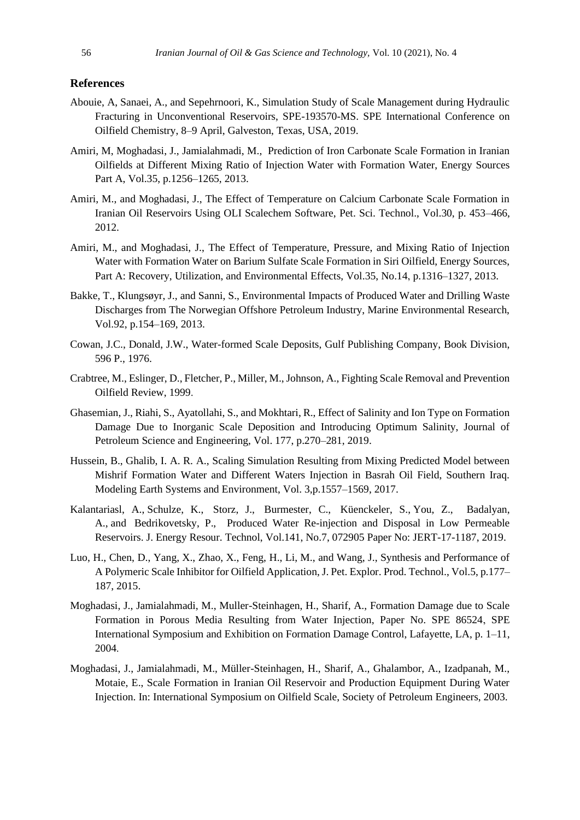#### **References**

- Abouie, A, Sanaei, A., and Sepehrnoori, K., Simulation Study of Scale Management during Hydraulic Fracturing in Unconventional Reservoirs, SPE-193570-MS. SPE International Conference on Oilfield Chemistry, 8–9 April, Galveston, Texas, USA, 2019.
- Amiri, M, Moghadasi, J., Jamialahmadi, M., Prediction of Iron Carbonate Scale Formation in Iranian Oilfields at Different Mixing Ratio of Injection Water with Formation Water, Energy Sources Part A, Vol.35, p.1256–1265, 2013.
- Amiri, M., and Moghadasi, J., The Effect of Temperature on Calcium Carbonate Scale Formation in Iranian Oil Reservoirs Using OLI Scalechem Software, Pet. Sci. Technol., Vol.30, p. 453–466, 2012.
- Amiri, M., and Moghadasi, J., The Effect of Temperature, Pressure, and Mixing Ratio of Injection Water with Formation Water on Barium Sulfate Scale Formation in Siri Oilfield, Energy Sources, Part A: Recovery, Utilization, and Environmental Effects, Vol.35, No.14, p.1316–1327, 2013.
- Bakke, T., Klungsøyr, J., and Sanni, S., Environmental Impacts of Produced Water and Drilling Waste Discharges from The Norwegian Offshore Petroleum Industry, Marine Environmental Research, Vol.92, p.154–169, 2013.
- Cowan, J.C., Donald, J.W., Water-formed Scale Deposits, Gulf Publishing Company, Book Division, 596 P., 1976.
- Crabtree, M., Eslinger, D., Fletcher, P., Miller, M., Johnson, A., Fighting Scale Removal and Prevention Oilfield Review, 1999.
- Ghasemian, J., Riahi, S., Ayatollahi, S., and Mokhtari, R., Effect of Salinity and Ion Type on Formation Damage Due to Inorganic Scale Deposition and Introducing Optimum Salinity, Journal of Petroleum Science and Engineering, Vol. 177, p.270–281, 2019.
- Hussein, B., Ghalib, I. A. R. A., Scaling Simulation Resulting from Mixing Predicted Model between Mishrif Formation Water and Different Waters Injection in Basrah Oil Field, Southern Iraq. Modeling Earth Systems and Environment, Vol. 3,p.1557–1569, 2017.
- [Kalantariasl,](http://energyresources.asmedigitalcollection.asme.org/solr/searchresults.aspx?author=Azim+Kalantariasl&q=Azim+Kalantariasl) A., [Schulze,](http://energyresources.asmedigitalcollection.asme.org/solr/searchresults.aspx?author=Kai+Schulze&q=Kai+Schulze) K., [Storz,](http://energyresources.asmedigitalcollection.asme.org/solr/searchresults.aspx?author=J%c3%b6erg+Storz&q=J%c3%b6erg+Storz) J., [Burmester,](http://energyresources.asmedigitalcollection.asme.org/solr/searchresults.aspx?author=Christian+Burmester&q=Christian+Burmester) C., [Küenckeler,](http://energyresources.asmedigitalcollection.asme.org/solr/searchresults.aspx?author=Soeren+K%c3%bcenckeler&q=Soeren+K%c3%bcenckeler) S., [You,](http://energyresources.asmedigitalcollection.asme.org/solr/searchresults.aspx?author=Zhenjiang+You&q=Zhenjiang+You) Z., [Badalyan,](http://energyresources.asmedigitalcollection.asme.org/solr/searchresults.aspx?author=Alexander+Badalyan&q=Alexander+Badalyan) A., and [Bedrikovetsky,](http://energyresources.asmedigitalcollection.asme.org/solr/searchresults.aspx?author=Pavel+Bedrikovetsky&q=Pavel+Bedrikovetsky) P., Produced Water Re-injection and Disposal in Low Permeable Reservoirs. J. Energy Resour. Technol, Vol.141, No.7, 072905 Paper No: JERT-17-1187, 2019.
- Luo, H., Chen, D., Yang, X., Zhao, X., Feng, H., Li, M., and Wang, J., Synthesis and Performance of A Polymeric Scale Inhibitor for Oilfield Application, J. Pet. Explor. Prod. Technol., Vol.5, p.177– 187, 2015.
- Moghadasi, J., Jamialahmadi, M., Muller-Steinhagen, H., Sharif, A., Formation Damage due to Scale Formation in Porous Media Resulting from Water Injection, Paper No. SPE 86524, SPE International Symposium and Exhibition on Formation Damage Control, Lafayette, LA, p. 1–11, 2004.
- Moghadasi, J., Jamialahmadi, M., Müller-Steinhagen, H., Sharif, A., Ghalambor, A., Izadpanah, M., Motaie, E., Scale Formation in Iranian Oil Reservoir and Production Equipment During Water Injection. In: International Symposium on Oilfield Scale, Society of Petroleum Engineers, 2003.